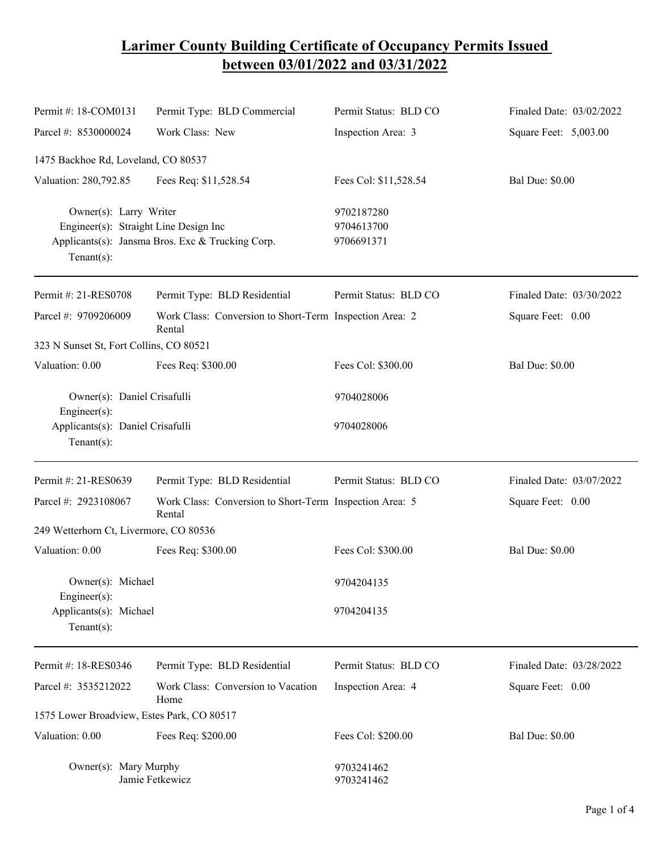## **Larimer County Building Certificate of Occupancy Permits Issued between 03/01/2022 and 03/31/2022**

| Permit #: 18-COM0131                                                              | Permit Type: BLD Commercial                                       | Permit Status: BLD CO                  | Finaled Date: 03/02/2022 |
|-----------------------------------------------------------------------------------|-------------------------------------------------------------------|----------------------------------------|--------------------------|
| Parcel #: 8530000024                                                              | Work Class: New                                                   | Inspection Area: 3                     | Square Feet: 5,003.00    |
| 1475 Backhoe Rd, Loveland, CO 80537                                               |                                                                   |                                        |                          |
| Valuation: 280,792.85                                                             | Fees Req: \$11,528.54                                             | Fees Col: \$11,528.54                  | <b>Bal Due: \$0.00</b>   |
| Owner(s): Larry Writer<br>Engineer(s): Straight Line Design Inc<br>Tenant $(s)$ : | Applicants(s): Jansma Bros. Exc & Trucking Corp.                  | 9702187280<br>9704613700<br>9706691371 |                          |
| Permit #: 21-RES0708                                                              | Permit Type: BLD Residential                                      | Permit Status: BLD CO                  | Finaled Date: 03/30/2022 |
| Parcel #: 9709206009                                                              | Work Class: Conversion to Short-Term Inspection Area: 2<br>Rental |                                        | Square Feet: 0.00        |
| 323 N Sunset St, Fort Collins, CO 80521                                           |                                                                   |                                        |                          |
| Valuation: 0.00                                                                   | Fees Req: \$300.00                                                | Fees Col: \$300.00                     | <b>Bal Due: \$0.00</b>   |
| Owner(s): Daniel Crisafulli<br>Engineer $(s)$ :                                   |                                                                   | 9704028006                             |                          |
| Applicants(s): Daniel Crisafulli<br>Tenant $(s)$ :                                |                                                                   | 9704028006                             |                          |
| Permit #: 21-RES0639                                                              | Permit Type: BLD Residential                                      | Permit Status: BLD CO                  | Finaled Date: 03/07/2022 |
| Parcel #: 2923108067                                                              | Work Class: Conversion to Short-Term Inspection Area: 5<br>Rental |                                        | Square Feet: 0.00        |
| 249 Wetterhorn Ct, Livermore, CO 80536                                            |                                                                   |                                        |                          |
| Valuation: 0.00                                                                   | Fees Req: \$300.00                                                | Fees Col: \$300.00                     | <b>Bal Due: \$0.00</b>   |
| Owner(s): Michael<br>$Engineering(s)$ :                                           |                                                                   | 9704204135                             |                          |
| Applicants(s): Michael<br>Tenant $(s)$ :                                          |                                                                   | 9704204135                             |                          |
| Permit #: 18-RES0346                                                              | Permit Type: BLD Residential                                      | Permit Status: BLD CO                  | Finaled Date: 03/28/2022 |
| Parcel #: 3535212022                                                              | Work Class: Conversion to Vacation<br>Home                        | Inspection Area: 4                     | Square Feet: 0.00        |
| 1575 Lower Broadview, Estes Park, CO 80517                                        |                                                                   |                                        |                          |
| Valuation: 0.00                                                                   | Fees Req: \$200.00                                                | Fees Col: \$200.00                     | <b>Bal Due: \$0.00</b>   |
| Owner(s): Mary Murphy<br>Jamie Fetkewicz                                          |                                                                   | 9703241462<br>9703241462               |                          |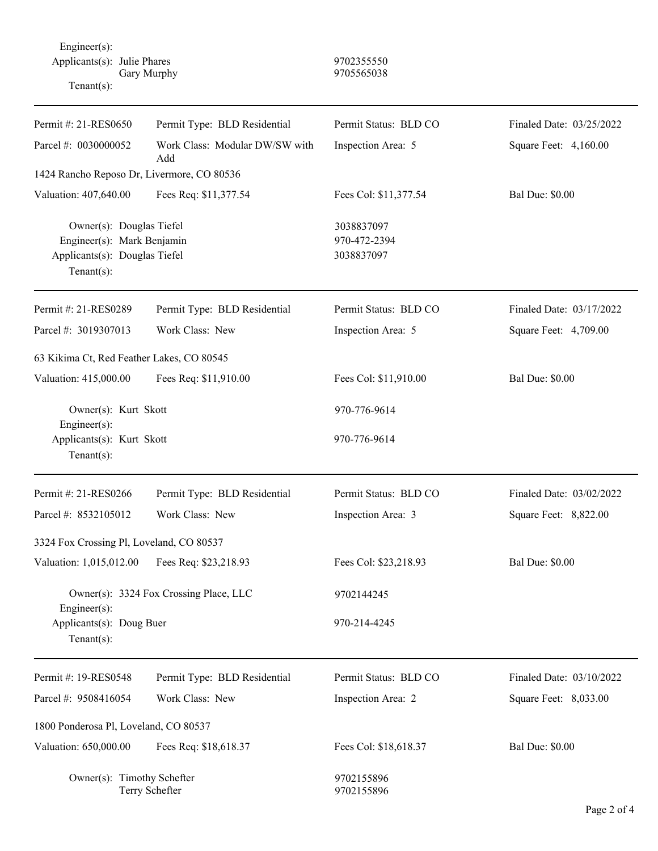Engineer(s): Applicants(s): Julie Phares 9702355550 Gary Murphy 9705565038 Tenant(s):

| Permit #: 21-RES0650                                                                                     | Permit Type: BLD Residential          | Permit Status: BLD CO                    | Finaled Date: 03/25/2022 |  |  |
|----------------------------------------------------------------------------------------------------------|---------------------------------------|------------------------------------------|--------------------------|--|--|
| Parcel #: 0030000052                                                                                     | Work Class: Modular DW/SW with<br>Add | Inspection Area: 5                       | Square Feet: 4,160.00    |  |  |
| 1424 Rancho Reposo Dr, Livermore, CO 80536                                                               |                                       |                                          |                          |  |  |
| Valuation: 407,640.00                                                                                    | Fees Req: \$11,377.54                 | Fees Col: \$11,377.54                    | <b>Bal Due: \$0.00</b>   |  |  |
| Owner(s): Douglas Tiefel<br>Engineer(s): Mark Benjamin<br>Applicants(s): Douglas Tiefel<br>$Tenant(s)$ : |                                       | 3038837097<br>970-472-2394<br>3038837097 |                          |  |  |
| Permit #: 21-RES0289                                                                                     | Permit Type: BLD Residential          | Permit Status: BLD CO                    | Finaled Date: 03/17/2022 |  |  |
| Parcel #: 3019307013                                                                                     | Work Class: New                       | Inspection Area: 5                       | Square Feet: 4,709.00    |  |  |
| 63 Kikima Ct, Red Feather Lakes, CO 80545                                                                |                                       |                                          |                          |  |  |
| Valuation: 415,000.00                                                                                    | Fees Req: \$11,910.00                 | Fees Col: \$11,910.00                    | <b>Bal Due: \$0.00</b>   |  |  |
| Owner(s): Kurt Skott<br>Engineer(s):                                                                     |                                       | 970-776-9614                             |                          |  |  |
| Applicants(s): Kurt Skott<br>$Tenant(s)$ :                                                               |                                       | 970-776-9614                             |                          |  |  |
| Permit #: 21-RES0266                                                                                     | Permit Type: BLD Residential          | Permit Status: BLD CO                    | Finaled Date: 03/02/2022 |  |  |
| Parcel #: 8532105012                                                                                     | Work Class: New                       | Inspection Area: 3                       | Square Feet: 8,822.00    |  |  |
| 3324 Fox Crossing Pl, Loveland, CO 80537                                                                 |                                       |                                          |                          |  |  |
| Valuation: 1,015,012.00                                                                                  | Fees Req: \$23,218.93                 | Fees Col: \$23,218.93                    | <b>Bal Due: \$0.00</b>   |  |  |
| Owner(s): 3324 Fox Crossing Place, LLC<br>Engineer(s):                                                   |                                       | 9702144245                               |                          |  |  |
| Applicants(s): Doug Buer<br>Tenant $(s)$ :                                                               |                                       | 970-214-4245                             |                          |  |  |
| Permit #: 19-RES0548                                                                                     | Permit Type: BLD Residential          | Permit Status: BLD CO                    | Finaled Date: 03/10/2022 |  |  |
| Parcel #: 9508416054                                                                                     | Work Class: New                       | Inspection Area: 2                       | Square Feet: 8,033.00    |  |  |
| 1800 Ponderosa Pl, Loveland, CO 80537                                                                    |                                       |                                          |                          |  |  |
| Valuation: 650,000.00                                                                                    | Fees Req: \$18,618.37                 | Fees Col: \$18,618.37                    | <b>Bal Due: \$0.00</b>   |  |  |
| Owner(s): Timothy Schefter<br>Terry Schefter                                                             |                                       | 9702155896<br>9702155896                 |                          |  |  |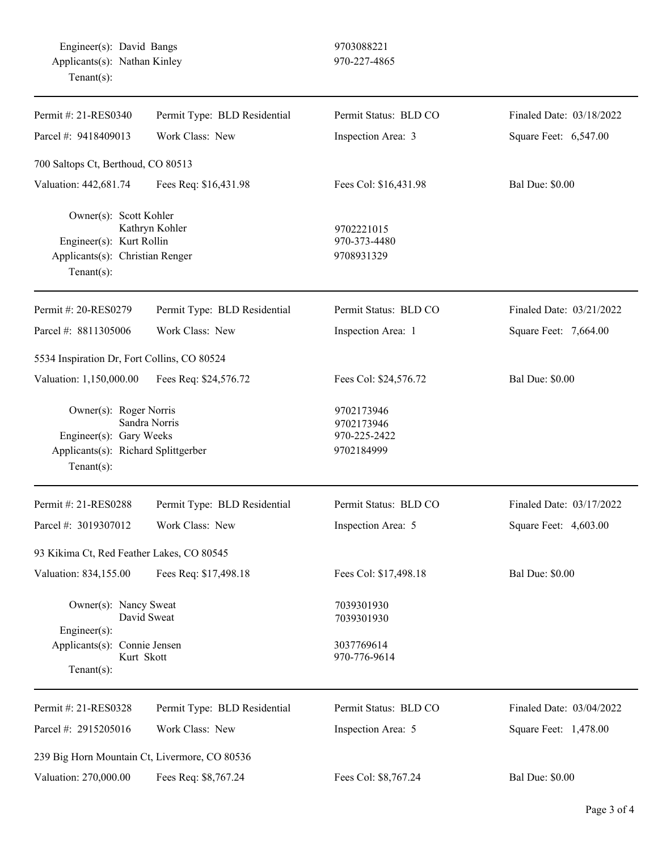| Permit #: 21-RES0340                                                                                                       | Permit Type: BLD Residential | Permit Status: BLD CO                                  | Finaled Date: 03/18/2022 |
|----------------------------------------------------------------------------------------------------------------------------|------------------------------|--------------------------------------------------------|--------------------------|
| Parcel #: 9418409013                                                                                                       | Work Class: New              | Inspection Area: 3                                     | Square Feet: 6,547.00    |
| 700 Saltops Ct, Berthoud, CO 80513                                                                                         |                              |                                                        |                          |
| Valuation: 442,681.74                                                                                                      | Fees Req: \$16,431.98        | Fees Col: \$16,431.98                                  | <b>Bal Due: \$0.00</b>   |
| Owner(s): Scott Kohler<br>Engineer(s): Kurt Rollin<br>Applicants(s): Christian Renger<br>Tenant $(s)$ :                    | Kathryn Kohler               | 9702221015<br>970-373-4480<br>9708931329               |                          |
| Permit #: 20-RES0279                                                                                                       | Permit Type: BLD Residential | Permit Status: BLD CO                                  | Finaled Date: 03/21/2022 |
| Parcel #: 8811305006                                                                                                       | Work Class: New              | Inspection Area: 1                                     | Square Feet: 7,664.00    |
| 5534 Inspiration Dr, Fort Collins, CO 80524                                                                                |                              |                                                        |                          |
| Valuation: 1,150,000.00                                                                                                    | Fees Req: \$24,576.72        | Fees Col: \$24,576.72                                  | <b>Bal Due: \$0.00</b>   |
| Owner(s): Roger Norris<br>Engineer(s): Gary Weeks<br>Applicants(s): Richard Splittgerber<br>Tenant $(s)$ :                 | Sandra Norris                | 9702173946<br>9702173946<br>970-225-2422<br>9702184999 |                          |
| Permit #: 21-RES0288                                                                                                       | Permit Type: BLD Residential | Permit Status: BLD CO                                  | Finaled Date: 03/17/2022 |
| Parcel #: 3019307012                                                                                                       | Work Class: New              | Inspection Area: 5                                     | Square Feet: 4,603.00    |
| 93 Kikima Ct, Red Feather Lakes, CO 80545                                                                                  |                              |                                                        |                          |
| Valuation: 834,155.00                                                                                                      | Fees Req: \$17,498.18        | Fees Col: \$17,498.18                                  | <b>Bal Due: \$0.00</b>   |
| Owner(s): Nancy Sweat<br>David Sweat<br>$Engineering(s)$ :<br>Applicants(s): Connie Jensen<br>Kurt Skott<br>Tenant $(s)$ : |                              | 7039301930<br>7039301930                               |                          |
|                                                                                                                            |                              | 3037769614<br>970-776-9614                             |                          |
| Permit #: 21-RES0328                                                                                                       | Permit Type: BLD Residential | Permit Status: BLD CO                                  | Finaled Date: 03/04/2022 |
| Parcel #: 2915205016                                                                                                       | Work Class: New              | Inspection Area: 5                                     | Square Feet: 1,478.00    |
| 239 Big Horn Mountain Ct, Livermore, CO 80536                                                                              |                              |                                                        |                          |
| Valuation: 270,000.00                                                                                                      | Fees Req: \$8,767.24         | Fees Col: \$8,767.24                                   | <b>Bal Due: \$0.00</b>   |